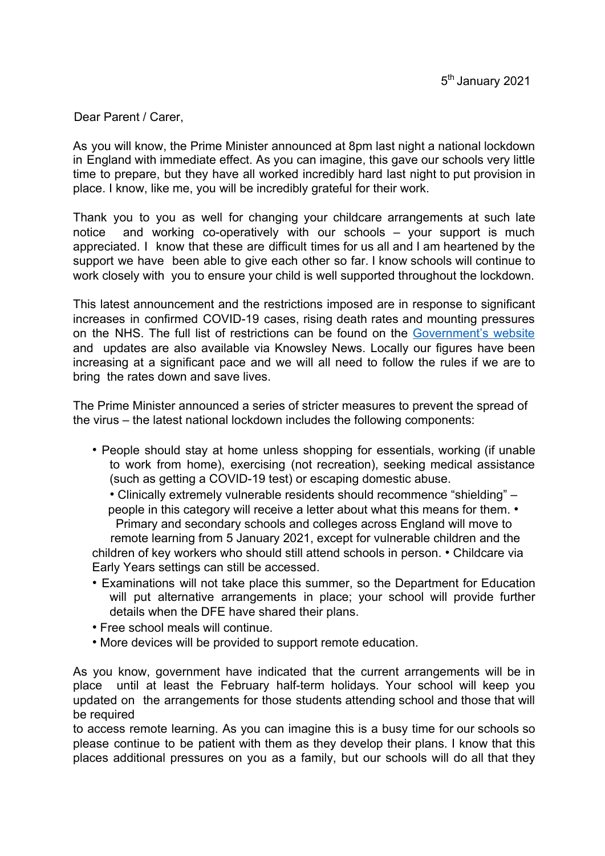Dear Parent / Carer,

As you will know, the Prime Minister announced at 8pm last night a national lockdown in England with immediate effect. As you can imagine, this gave our schools very little time to prepare, but they have all worked incredibly hard last night to put provision in place. I know, like me, you will be incredibly grateful for their work.

Thank you to you as well for changing your childcare arrangements at such late notice and working co-operatively with our schools – your support is much appreciated. I know that these are difficult times for us all and I am heartened by the support we have been able to give each other so far. I know schools will continue to work closely with you to ensure your child is well supported throughout the lockdown.

This latest announcement and the restrictions imposed are in response to significant increases in confirmed COVID-19 cases, rising death rates and mounting pressures on the NHS. The full list of restrictions can be found on the Government's website and updates are also available via Knowsley News. Locally our figures have been increasing at a significant pace and we will all need to follow the rules if we are to bring the rates down and save lives.

The Prime Minister announced a series of stricter measures to prevent the spread of the virus – the latest national lockdown includes the following components:

• People should stay at home unless shopping for essentials, working (if unable to work from home), exercising (not recreation), seeking medical assistance (such as getting a COVID-19 test) or escaping domestic abuse.

• Clinically extremely vulnerable residents should recommence "shielding" – people in this category will receive a letter about what this means for them. • Primary and secondary schools and colleges across England will move to remote learning from 5 January 2021, except for vulnerable children and the children of key workers who should still attend schools in person. • Childcare via Early Years settings can still be accessed.

- Examinations will not take place this summer, so the Department for Education will put alternative arrangements in place; your school will provide further details when the DFE have shared their plans.
- Free school meals will continue.
- More devices will be provided to support remote education.

As you know, government have indicated that the current arrangements will be in place until at least the February half-term holidays. Your school will keep you updated on the arrangements for those students attending school and those that will be required

to access remote learning. As you can imagine this is a busy time for our schools so please continue to be patient with them as they develop their plans. I know that this places additional pressures on you as a family, but our schools will do all that they